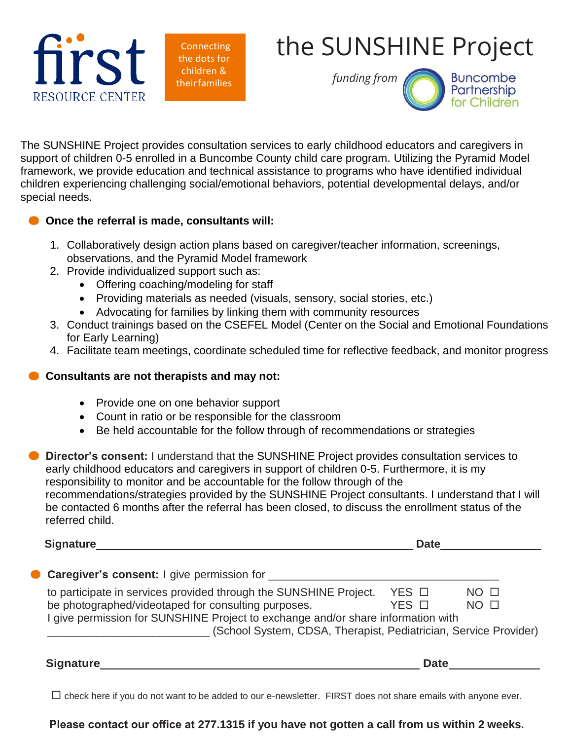

**Connecting** the dots for children & theirfamilies

## the SUNSHINE Project

*funding from*



The SUNSHINE Project provides consultation services to early childhood educators and caregivers in support of children 0-5 enrolled in a Buncombe County child care program. Utilizing the Pyramid Model framework, we provide education and technical assistance to programs who have identified individual children experiencing challenging social/emotional behaviors, potential developmental delays, and/or special needs.

## **Once the referral is made, consultants will:**

- 1. Collaboratively design action plans based on caregiver/teacher information, screenings, observations, and the Pyramid Model framework
- 2. Provide individualized support such as:
	- Offering coaching/modeling for staff
	- Providing materials as needed (visuals, sensory, social stories, etc.)
	- Advocating for families by linking them with community resources
- 3. Conduct trainings based on the CSEFEL Model (Center on the Social and Emotional Foundations for Early Learning)
- 4. Facilitate team meetings, coordinate scheduled time for reflective feedback, and monitor progress

## **Consultants are not therapists and may not:**

- Provide one on one behavior support
- Count in ratio or be responsible for the classroom
- Be held accountable for the follow through of recommendations or strategies

**Director's consent:** I understand that the SUNSHINE Project provides consultation services to early childhood educators and caregivers in support of children 0-5. Furthermore, it is my responsibility to monitor and be accountable for the follow through of the recommendations/strategies provided by the SUNSHINE Project consultants. I understand that I will be contacted 6 months after the referral has been closed, to discuss the enrollment status of the referred child.

**Signature Date**

| to participate in services provided through the SUNSHINE Project.                                                                                    | YES □ | NO <sub>1</sub> |
|------------------------------------------------------------------------------------------------------------------------------------------------------|-------|-----------------|
| be photographed/videotaped for consulting purposes.                                                                                                  | YES O | NO <sub>1</sub> |
| I give permission for SUNSHINE Project to exchange and/or share information with<br>(School System, CDSA, Therapist, Pediatrician, Service Provider) |       |                 |

 $\Box$  check here if you do not want to be added to our e-newsletter. FIRST does not share emails with anyone ever.

## **Please contact our office at 277.1315 if you have not gotten a call from us within 2 weeks.**